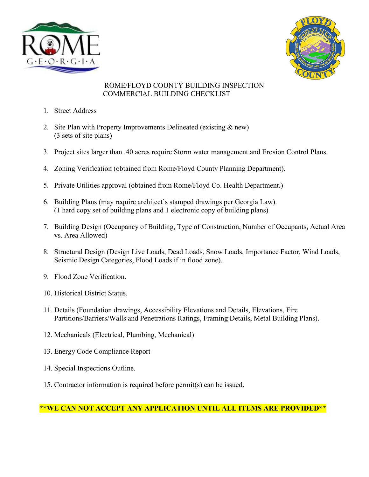



## ROME/FLOYD COUNTY BUILDING INSPECTION COMMERCIAL BUILDING CHECKLIST

- 1. Street Address
- 2. Site Plan with Property Improvements Delineated (existing & new) (3 sets of site plans)
- 3. Project sites larger than .40 acres require Storm water management and Erosion Control Plans.
- 4. Zoning Verification (obtained from Rome/Floyd County Planning Department).
- 5. Private Utilities approval (obtained from Rome/Floyd Co. Health Department.)
- 6. Building Plans (may require architect's stamped drawings per Georgia Law). (1 hard copy set of building plans and 1 electronic copy of building plans)
- 7. Building Design (Occupancy of Building, Type of Construction, Number of Occupants, Actual Area vs. Area Allowed)
- 8. Structural Design (Design Live Loads, Dead Loads, Snow Loads, Importance Factor, Wind Loads, Seismic Design Categories, Flood Loads if in flood zone).
- 9. Flood Zone Verification.
- 10. Historical District Status.
- 11. Details (Foundation drawings, Accessibility Elevations and Details, Elevations, Fire Partitions/Barriers/Walls and Penetrations Ratings, Framing Details, Metal Building Plans).
- 12. Mechanicals (Electrical, Plumbing, Mechanical)
- 13. Energy Code Compliance Report
- 14. Special Inspections Outline.
- 15. Contractor information is required before permit(s) can be issued.

## **\*\*WE CAN NOT ACCEPT ANY APPLICATION UNTIL ALL ITEMS ARE PROVIDED\*\***